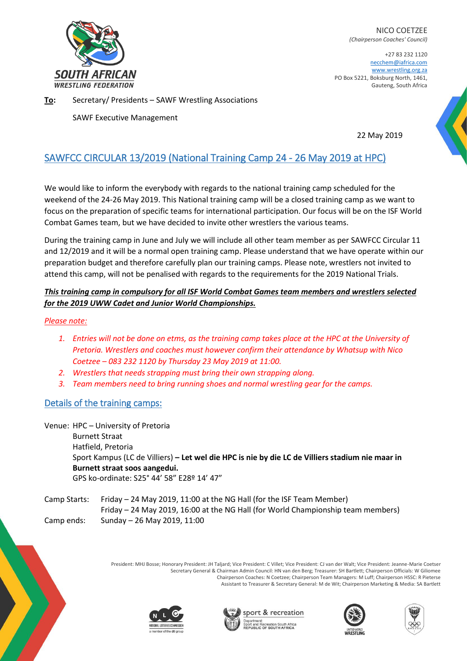

NICO COETZEE *(Chairperson Coaches' Council)*

+27 83 232 1120 necchem@iafrica.com [www.wrestling.org.za](http://www.wrestling.org.za/) PO Box 5221, Boksburg North, 1461, Gauteng, South Africa

**To:** Secretary/ Presidents – SAWF Wrestling Associations

SAWF Executive Management

22 May 2019

# SAWFCC CIRCULAR 13/2019 (National Training Camp 24 - 26 May 2019 at HPC)

We would like to inform the everybody with regards to the national training camp scheduled for the weekend of the 24-26 May 2019. This National training camp will be a closed training camp as we want to focus on the preparation of specific teams for international participation. Our focus will be on the ISF World Combat Games team, but we have decided to invite other wrestlers the various teams.

During the training camp in June and July we will include all other team member as per SAWFCC Circular 11 and 12/2019 and it will be a normal open training camp. Please understand that we have operate within our preparation budget and therefore carefully plan our training camps. Please note, wrestlers not invited to attend this camp, will not be penalised with regards to the requirements for the 2019 National Trials.

## *This training camp in compulsory for all ISF World Combat Games team members and wrestlers selected for the 2019 UWW Cadet and Junior World Championships.*

#### *Please note:*

- *1. Entries will not be done on etms, as the training camp takes place at the HPC at the University of Pretoria. Wrestlers and coaches must however confirm their attendance by Whatsup with Nico Coetzee – 083 232 1120 by Thursday 23 May 2019 at 11:00.*
- *2. Wrestlers that needs strapping must bring their own strapping along.*
- *3. Team members need to bring running shoes and normal wrestling gear for the camps.*

## Details of the training camps:

Venue: HPC – University of Pretoria Burnett Straat Hatfield, Pretoria Sport Kampus (LC de Villiers) **– Let wel die HPC is nie by die LC de Villiers stadium nie maar in Burnett straat soos aangedui.**  GPS ko-ordinate: S25° 44' 58" E28º 14' 47"

Camp Starts: Friday – 24 May 2019, 11:00 at the NG Hall (for the ISF Team Member) Friday – 24 May 2019, 16:00 at the NG Hall (for World Championship team members) Camp ends: Sunday – 26 May 2019, 11:00

> President: MHJ Bosse; Honorary President: JH Taljard; Vice President: C Villet; Vice President: CJ van der Walt; Vice President: Jeanne-Marie Coetser Secretary General & Chairman Admin Council: HN van den Berg; Treasurer: SH Bartlett; Chairperson Officials: W Giliomee Chairperson Coaches: N Coetzee; Chairperson Team Managers: M Luff; Chairperson HSSC: R Pieterse Assistant to Treasurer & Secretary General: M de Wit; Chairperson Marketing & Media: SA Bartlett